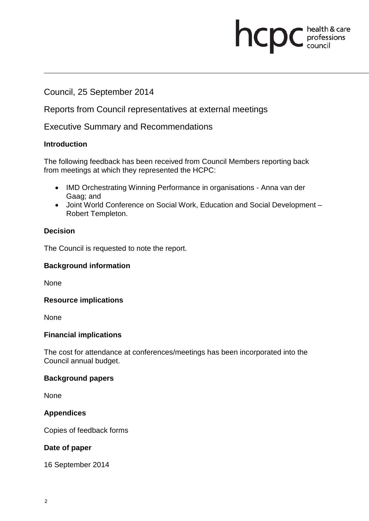# **health & care**

Council, 25 September 2014

Reports from Council representatives at external meetings

Executive Summary and Recommendations

## **Introduction**

The following feedback has been received from Council Members reporting back from meetings at which they represented the HCPC:

- IMD Orchestrating Winning Performance in organisations Anna van der Gaag; and
- Joint World Conference on Social Work, Education and Social Development Robert Templeton.

# **Decision**

The Council is requested to note the report.

## **Background information**

None

## **Resource implications**

None

## **Financial implications**

The cost for attendance at conferences/meetings has been incorporated into the Council annual budget.

## **Background papers**

None

## **Appendices**

Copies of feedback forms

## **Date of paper**

16 September 2014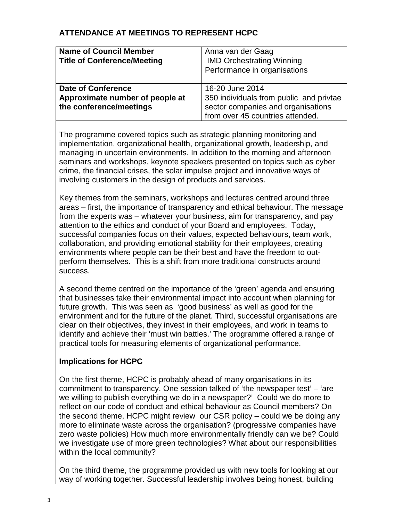# **ATTENDANCE AT MEETINGS TO REPRESENT HCPC**

| <b>Name of Council Member</b>      | Anna van der Gaag                       |
|------------------------------------|-----------------------------------------|
| <b>Title of Conference/Meeting</b> | <b>IMD Orchestrating Winning</b>        |
|                                    | Performance in organisations            |
|                                    |                                         |
| <b>Date of Conference</b>          | 16-20 June 2014                         |
| Approximate number of people at    | 350 individuals from public and privtae |
| the conference/meetings            | sector companies and organisations      |
|                                    | from over 45 countries attended.        |

The programme covered topics such as strategic planning monitoring and implementation, organizational health, organizational growth, leadership, and managing in uncertain environments. In addition to the morning and afternoon seminars and workshops, keynote speakers presented on topics such as cyber crime, the financial crises, the solar impulse project and innovative ways of involving customers in the design of products and services.

Key themes from the seminars, workshops and lectures centred around three areas – first, the importance of transparency and ethical behaviour. The message from the experts was – whatever your business, aim for transparency, and pay attention to the ethics and conduct of your Board and employees. Today, successful companies focus on their values, expected behaviours, team work, collaboration, and providing emotional stability for their employees, creating environments where people can be their best and have the freedom to outperform themselves. This is a shift from more traditional constructs around success.

A second theme centred on the importance of the 'green' agenda and ensuring that businesses take their environmental impact into account when planning for future growth. This was seen as 'good business' as well as good for the environment and for the future of the planet. Third, successful organisations are clear on their objectives, they invest in their employees, and work in teams to identify and achieve their 'must win battles.' The programme offered a range of practical tools for measuring elements of organizational performance.

## **Implications for HCPC**

On the first theme, HCPC is probably ahead of many organisations in its commitment to transparency. One session talked of 'the newspaper test' – 'are we willing to publish everything we do in a newspaper?' Could we do more to reflect on our code of conduct and ethical behaviour as Council members? On the second theme, HCPC might review our CSR policy – could we be doing any more to eliminate waste across the organisation? (progressive companies have zero waste policies) How much more environmentally friendly can we be? Could we investigate use of more green technologies? What about our responsibilities within the local community?

On the third theme, the programme provided us with new tools for looking at our way of working together. Successful leadership involves being honest, building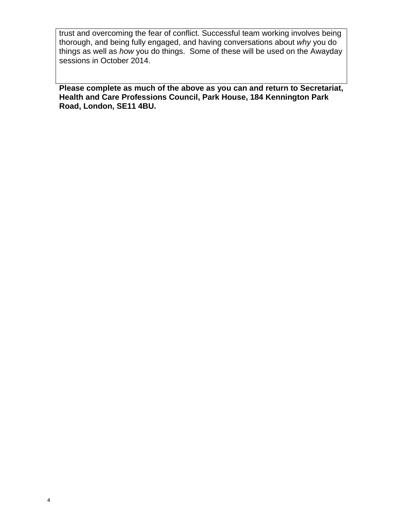trust and overcoming the fear of conflict. Successful team working involves being thorough, and being fully engaged, and having conversations about *why* you do things as well as *how* you do things. Some of these will be used on the Awayday sessions in October 2014.

**Please complete as much of the above as you can and return to Secretariat, Health and Care Professions Council, Park House, 184 Kennington Park Road, London, SE11 4BU.**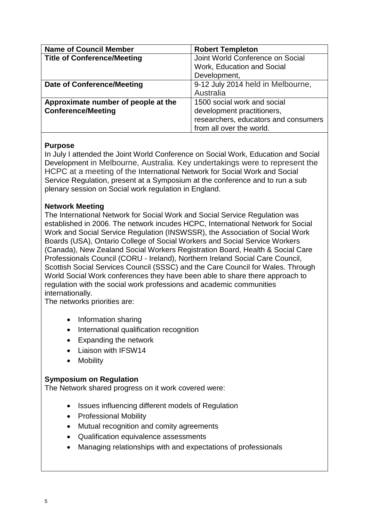| <b>Name of Council Member</b>       | <b>Robert Templeton</b>              |
|-------------------------------------|--------------------------------------|
| <b>Title of Conference/Meeting</b>  | Joint World Conference on Social     |
|                                     | Work, Education and Social           |
|                                     | Development,                         |
| <b>Date of Conference/Meeting</b>   | 9-12 July 2014 held in Melbourne,    |
|                                     | Australia                            |
| Approximate number of people at the | 1500 social work and social          |
| <b>Conference/Meeting</b>           | development practitioners,           |
|                                     | researchers, educators and consumers |
|                                     | from all over the world.             |

## **Purpose**

In July I attended the Joint World Conference on Social Work, Education and Social Development in Melbourne, Australia. Key undertakings were to represent the HCPC at a meeting of the International Network for Social Work and Social Service Regulation, present at a Symposium at the conference and to run a sub plenary session on Social work regulation in England.

#### **Network Meeting**

The International Network for Social Work and Social Service Regulation was established in 2006. The network incudes HCPC, International Network for Social Work and Social Service Regulation (INSWSSR), the Association of Social Work Boards (USA), Ontario College of Social Workers and Social Service Workers (Canada), New Zealand Social Workers Registration Board, Health & Social Care Professionals Council (CORU - Ireland), Northern Ireland Social Care Council, Scottish Social Services Council (SSSC) and the Care Council for Wales. Through World Social Work conferences they have been able to share there approach to regulation with the social work professions and academic communities internationally.

The networks priorities are:

- Information sharing
- International qualification recognition
- Expanding the network
- Liaison with IFSW14
- **Mobility**

#### **Symposium on Regulation**

The Network shared progress on it work covered were:

- Issues influencing different models of Regulation
- Professional Mobility
- Mutual recognition and comity agreements
- Qualification equivalence assessments
- Managing relationships with and expectations of professionals